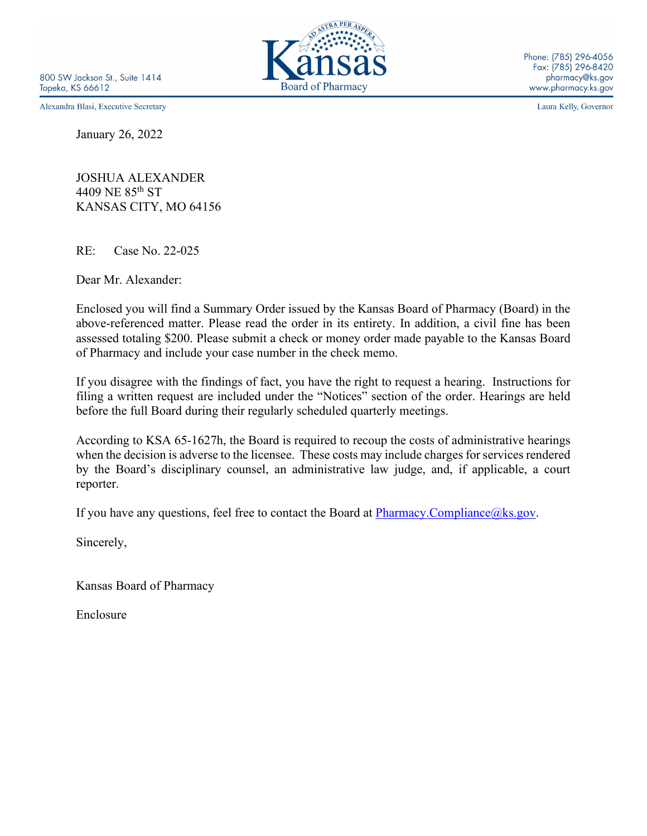800 SW Jackson St., Suite 1414 Topeka, KS 66612

Alexandra Blasi, Executive Secretary

January 26, 2022

JOSHUA ALEXANDER 4409 NE  $85^{th}$  ST KANSAS CITY, MO 64156

RE: Case No. 22-025

Dear Mr. Alexander:

Enclosed you will find a Summary Order issued by the Kansas Board of Pharmacy (Board) in the above-referenced matter. Please read the order in its entirety. In addition, a civil fine has been assessed totaling \$200. Please submit a check or money order made payable to the Kansas Board of Pharmacy and include your case number in the check memo.

If you disagree with the findings of fact, you have the right to request a hearing. Instructions for filing a written request are included under the "Notices" section of the order. Hearings are held before the full Board during their regularly scheduled quarterly meetings.

According to KSA 65-1627h, the Board is required to recoup the costs of administrative hearings when the decision is adverse to the licensee. These costs may include charges for services rendered by the Board's disciplinary counsel, an administrative law judge, and, if applicable, a court reporter.

If you have any questions, feel free to contact the Board at Pharmacy.Compliance $@$ ks.gov.

Sincerely,

Kansas Board of Pharmacy

Enclosure



Phone: (785) 296-4056 Fax: (785) 296-8420 pharmacy@ks.gov www.pharmacy.ks.gov

Laura Kelly, Governor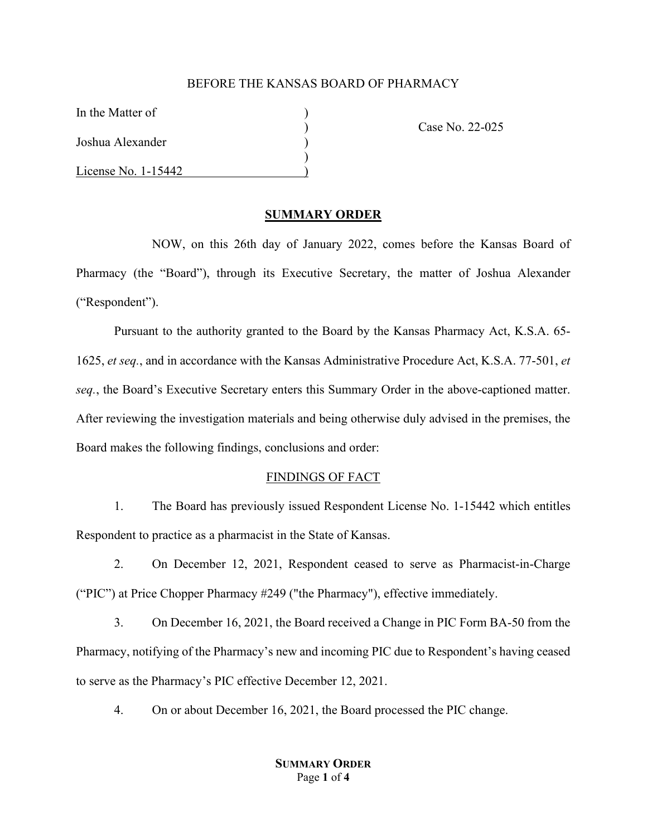### BEFORE THE KANSAS BOARD OF PHARMACY

In the Matter of

Joshua Alexander )

License No. 1-15442 )

) Case No. 22-025

## **SUMMARY ORDER**

)

NOW, on this 26th day of January 2022, comes before the Kansas Board of Pharmacy (the "Board"), through its Executive Secretary, the matter of Joshua Alexander ("Respondent").

Pursuant to the authority granted to the Board by the Kansas Pharmacy Act, K.S.A. 65- 1625, *et seq.*, and in accordance with the Kansas Administrative Procedure Act, K.S.A. 77-501, *et seq.*, the Board's Executive Secretary enters this Summary Order in the above-captioned matter. After reviewing the investigation materials and being otherwise duly advised in the premises, the Board makes the following findings, conclusions and order:

# FINDINGS OF FACT

1. The Board has previously issued Respondent License No. 1-15442 which entitles Respondent to practice as a pharmacist in the State of Kansas.

2. On December 12, 2021, Respondent ceased to serve as Pharmacist-in-Charge ("PIC") at Price Chopper Pharmacy #249 ("the Pharmacy"), effective immediately.

3. On December 16, 2021, the Board received a Change in PIC Form BA-50 from the Pharmacy, notifying of the Pharmacy's new and incoming PIC due to Respondent's having ceased to serve as the Pharmacy's PIC effective December 12, 2021.

4. On or about December 16, 2021, the Board processed the PIC change.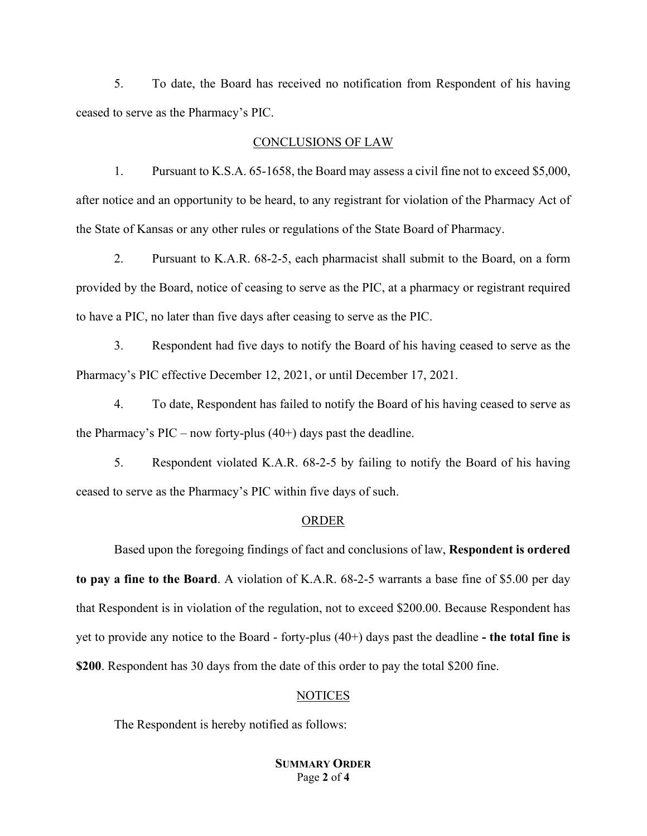5. To date, the Board has received no notification from Respondent of his having ceased to serve as the Pharmacy's PIC.

#### CONCLUSIONS OF LAW

1. Pursuant to K.S.A. 65-1658, the Board may assess a civil fine not to exceed \$5,000, after notice and an opportunity to be heard, to any registrant for violation of the Pharmacy Act of the State of Kansas or any other rules or regulations of the State Board of Pharmacy.

2. Pursuant to K.A.R. 68-2-5, each pharmacist shall submit to the Board, on a form provided by the Board, notice of ceasing to serve as the PIC, at a pharmacy or registrant required to have a PIC, no later than five days after ceasing to serve as the PIC.

3. Respondent had five days to notify the Board of his having ceased to serve as the Pharmacy's PIC effective December 12, 2021, or until December 17, 2021.

4. To date, Respondent has failed to notify the Board of his having ceased to serve as the Pharmacy's PIC – now forty-plus  $(40+)$  days past the deadline.

5. Respondent violated K.A.R. 68-2-5 by failing to notify the Board of his having ceased to serve as the Pharmacy's PIC within five days of such.

#### ORDER

Based upon the foregoing findings of fact and conclusions of law, **Respondent is ordered to pay a fine to the Board**. A violation of K.A.R. 68-2-5 warrants a base fine of \$5.00 per day that Respondent is in violation of the regulation, not to exceed \$200.00. Because Respondent has yet to provide any notice to the Board - forty-plus (40+) days past the deadline **- the total fine is \$200**. Respondent has 30 days from the date of this order to pay the total \$200 fine.

#### **NOTICES**

The Respondent is hereby notified as follows: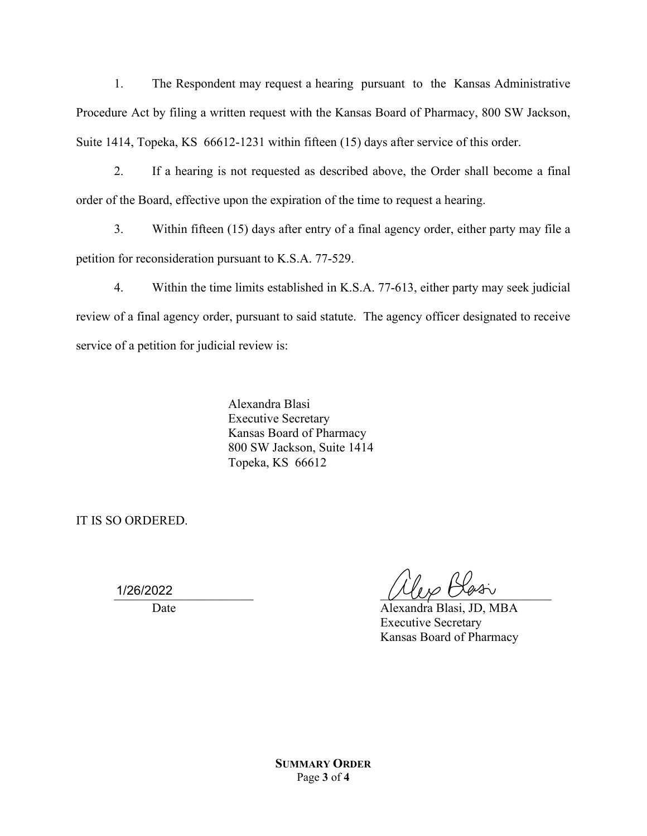1. The Respondent may request a hearing pursuant to the Kansas Administrative Procedure Act by filing a written request with the Kansas Board of Pharmacy, 800 SW Jackson, Suite 1414, Topeka, KS 66612-1231 within fifteen (15) days after service of this order.

2. If a hearing is not requested as described above, the Order shall become a final order of the Board, effective upon the expiration of the time to request a hearing.

3. Within fifteen (15) days after entry of a final agency order, either party may file a petition for reconsideration pursuant to K.S.A. 77-529.

4. Within the time limits established in K.S.A. 77-613, either party may seek judicial review of a final agency order, pursuant to said statute. The agency officer designated to receive service of a petition for judicial review is:

> Alexandra Blasi Executive Secretary Kansas Board of Pharmacy 800 SW Jackson, Suite 1414 Topeka, KS 66612

IT IS SO ORDERED.

1/26/2022

\_\_\_\_\_\_\_\_\_\_\_\_\_\_\_\_\_\_\_\_\_\_ \_\_\_\_\_\_\_\_\_\_\_\_\_\_\_\_\_\_\_\_\_\_\_\_\_\_\_

Date Alexandra Blasi, JD, MBA Executive Secretary Kansas Board of Pharmacy